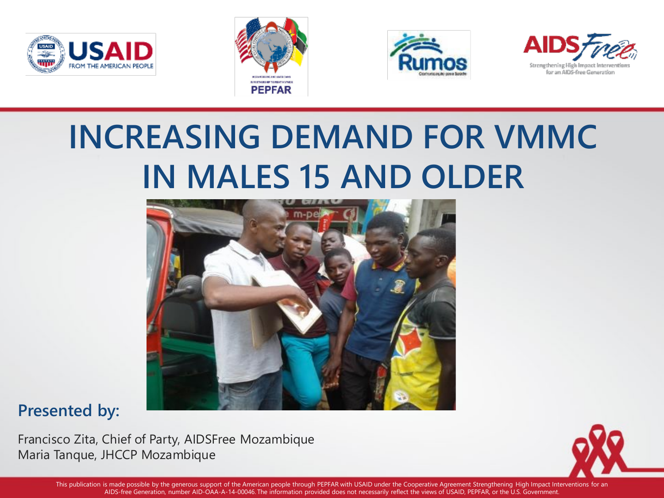







## **INCREASING DEMAND FOR VMMC IN MALES 15 AND OLDER**



#### **Presented by:**

Francisco Zita, Chief of Party, AIDSFree Mozambique Maria Tanque, JHCCP Mozambique



This publication is made possible by the generous support of the American people through PEPFAR with USAID under the Cooperative Agreement Strengthening High Impact Interventions for an AIDS-free Generation, number AID-OAA-A-14-00046. The information provided does not necessarily reflect the views of USAID, PEPFAR, or the U.S. Government.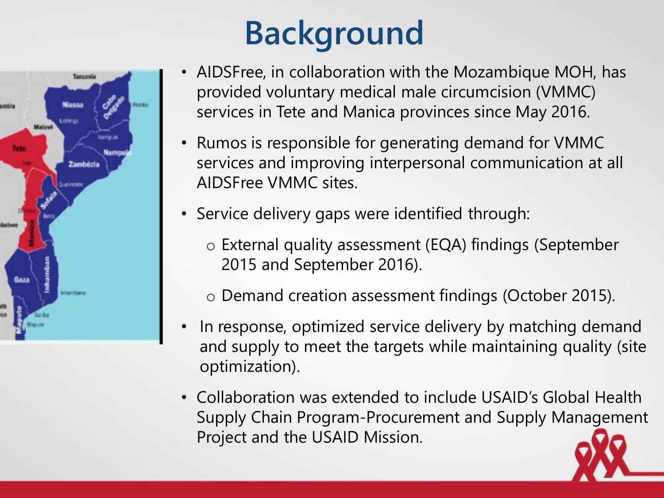

# **Background**

- AIDSFree, in collaboration with the Mozambique MOH, has provided voluntary medical male circumcision (VMMC) services in Tete and Manica provinces since May 2016.
- Rumos is responsible for generating demand for VMMC services and improving interpersonal communication at all AIDSFree VMMC sites.
- Service delivery gaps were identified through:
	- o External quality assessment (EQA) findings (September 2015 and September 2016).
	- o Demand creation assessment findings (October 2015).
- In response, optimized service delivery by matching demand and supply to meet the targets while maintaining quality (site optimization).
- Collaboration was extended to include USAID's Global Health Supply Chain Program-Procurement and Supply Management Project and the USAID Mission.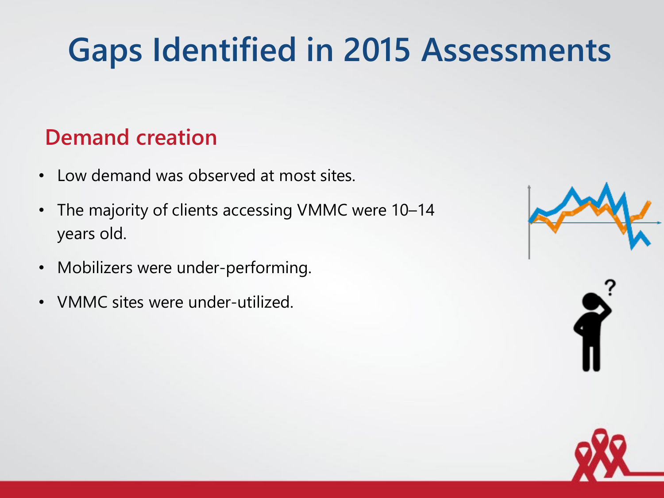# **Gaps Identified in 2015 Assessments**

#### **Demand creation**

- Low demand was observed at most sites.
- The majority of clients accessing VMMC were 10–14 years old.
- Mobilizers were under-performing.
- VMMC sites were under-utilized.

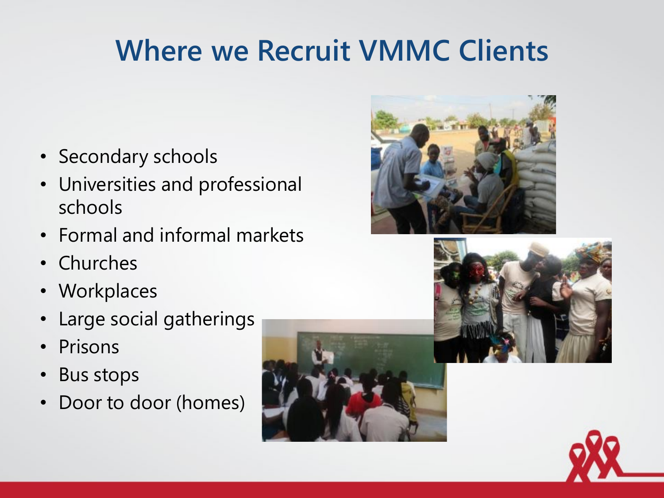### **Where we Recruit VMMC Clients**

- Secondary schools
- Universities and professional schools
- Formal and informal markets
- Churches
- Workplaces
- Large social gatherings
- Prisons
- Bus stops
- Door to door (homes)





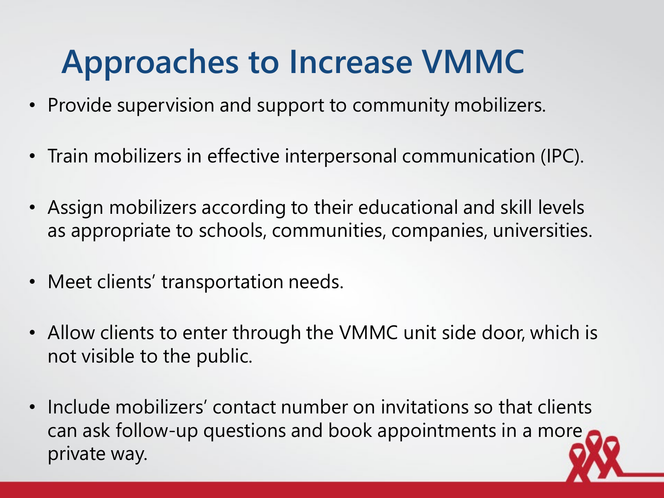## **Approaches to Increase VMMC**

- Provide supervision and support to community mobilizers.
- Train mobilizers in effective interpersonal communication (IPC).
- Assign mobilizers according to their educational and skill levels as appropriate to schools, communities, companies, universities.
- Meet clients' transportation needs.
- Allow clients to enter through the VMMC unit side door, which is not visible to the public.
- Include mobilizers' contact number on invitations so that clients can ask follow-up questions and book appointments in a more private way.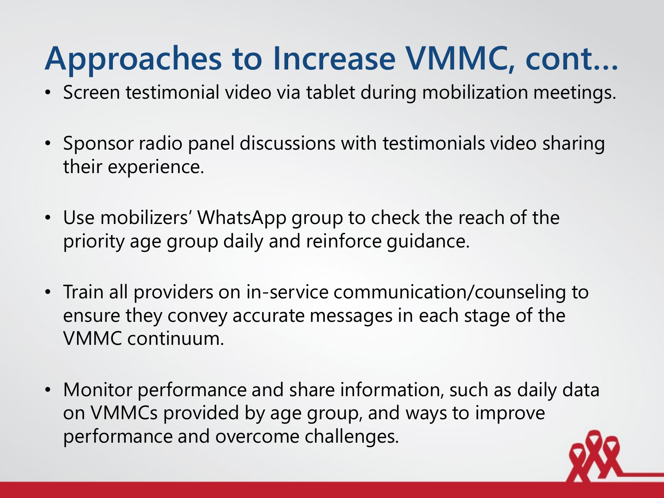## **Approaches to Increase VMMC, cont…**

- Screen testimonial video via tablet during mobilization meetings.
- Sponsor radio panel discussions with testimonials video sharing their experience.
- Use mobilizers' WhatsApp group to check the reach of the priority age group daily and reinforce guidance.
- Train all providers on in-service communication/counseling to ensure they convey accurate messages in each stage of the VMMC continuum.
- Monitor performance and share information, such as daily data on VMMCs provided by age group, and ways to improve performance and overcome challenges.

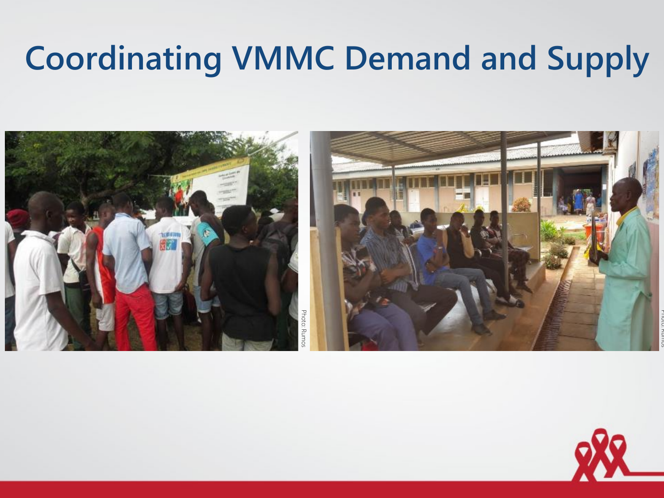# **Coordinating VMMC Demand and Supply**



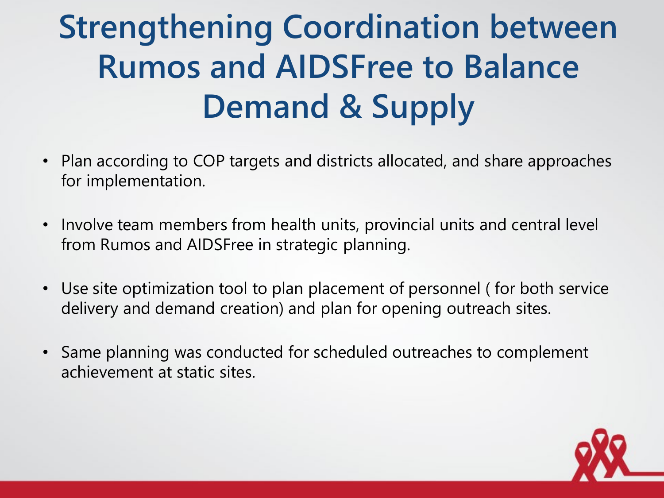# **Strengthening Coordination between Rumos and AIDSFree to Balance Demand & Supply**

- Plan according to COP targets and districts allocated, and share approaches for implementation.
- Involve team members from health units, provincial units and central level from Rumos and AIDSFree in strategic planning.
- Use site optimization tool to plan placement of personnel ( for both service delivery and demand creation) and plan for opening outreach sites.
- Same planning was conducted for scheduled outreaches to complement achievement at static sites.

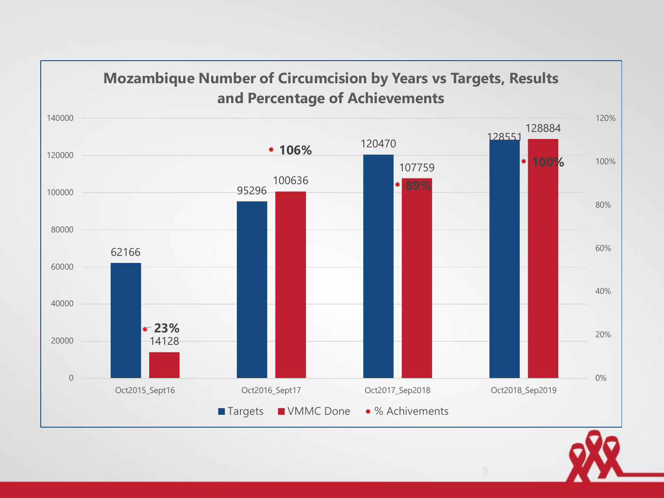

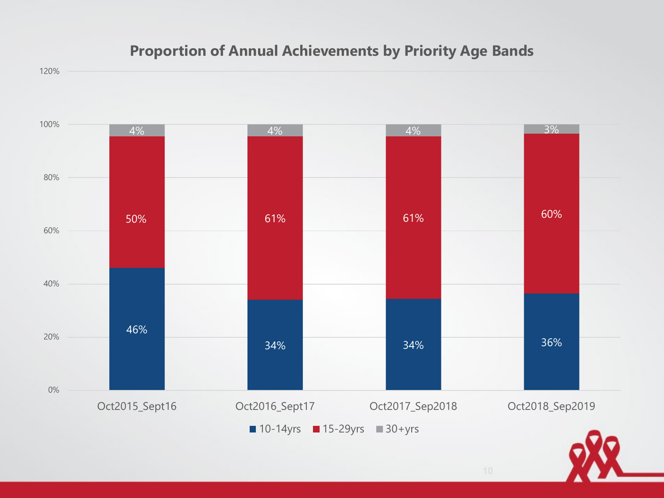#### **Proportion of Annual Achievements by Priority Age Bands**





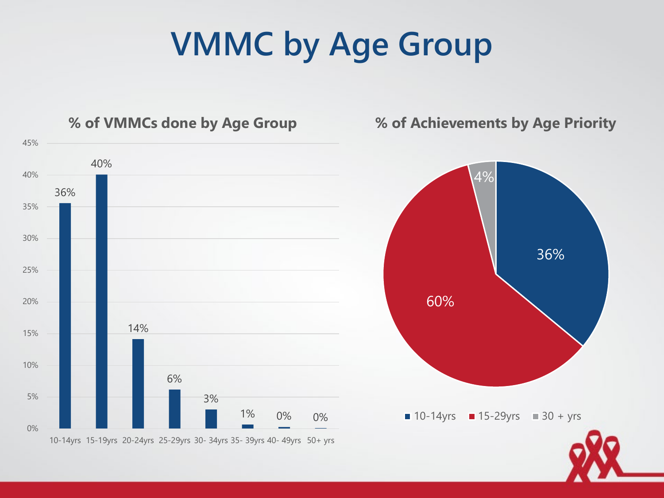### **VMMC by Age Group**

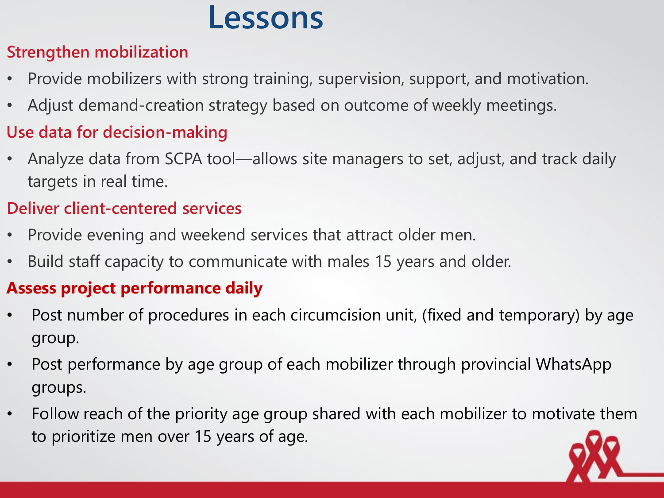#### **Lessons**

#### **Strengthen mobilization**

- Provide mobilizers with strong training, supervision, support, and motivation.
- Adjust demand-creation strategy based on outcome of weekly meetings.

#### **Use data for decision-making**

• Analyze data from SCPA tool—allows site managers to set, adjust, and track daily targets in real time.

#### **Deliver client-centered services**

- Provide evening and weekend services that attract older men.
- Build staff capacity to communicate with males 15 years and older.

#### **Assess project performance daily**

- Post number of procedures in each circumcision unit, (fixed and temporary) by age group.
- Post performance by age group of each mobilizer through provincial WhatsApp groups.
- Follow reach of the priority age group shared with each mobilizer to motivate them to prioritize men over 15 years of age.